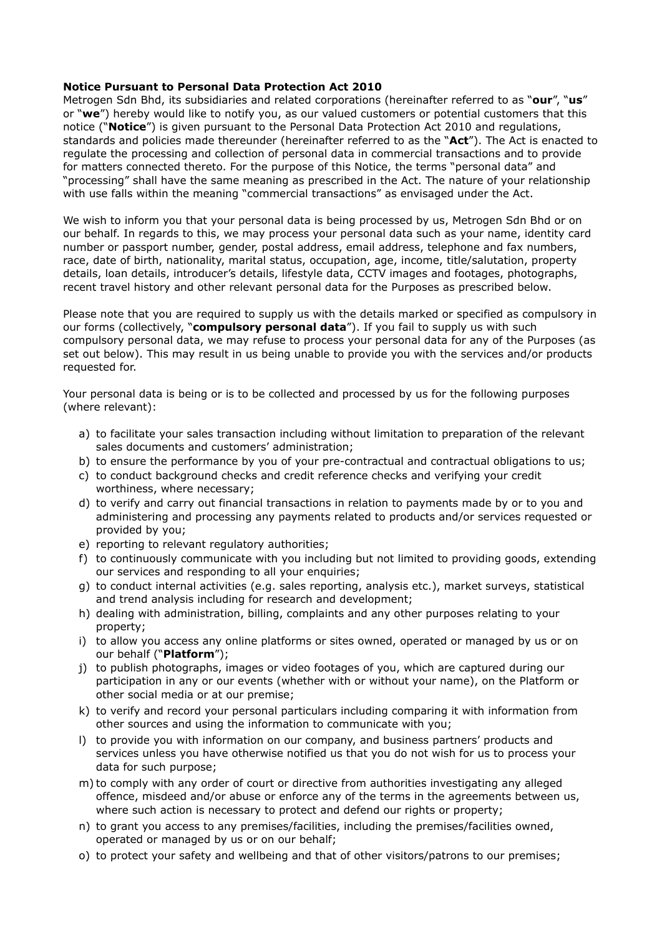## **Notice Pursuant to Personal Data Protection Act 2010**

Metrogen Sdn Bhd, its subsidiaries and related corporations (hereinafter referred to as "**our**", "**us**" or "**we**") hereby would like to notify you, as our valued customers or potential customers that this notice ("**Notice**") is given pursuant to the Personal Data Protection Act 2010 and regulations, standards and policies made thereunder (hereinafter referred to as the "**Act**"). The Act is enacted to regulate the processing and collection of personal data in commercial transactions and to provide for matters connected thereto. For the purpose of this Notice, the terms "personal data" and "processing" shall have the same meaning as prescribed in the Act. The nature of your relationship with use falls within the meaning "commercial transactions" as envisaged under the Act.

We wish to inform you that your personal data is being processed by us, Metrogen Sdn Bhd or on our behalf. In regards to this, we may process your personal data such as your name, identity card number or passport number, gender, postal address, email address, telephone and fax numbers, race, date of birth, nationality, marital status, occupation, age, income, title/salutation, property details, loan details, introducer's details, lifestyle data, CCTV images and footages, photographs, recent travel history and other relevant personal data for the Purposes as prescribed below.

Please note that you are required to supply us with the details marked or specified as compulsory in our forms (collectively, "**compulsory personal data**"). If you fail to supply us with such compulsory personal data, we may refuse to process your personal data for any of the Purposes (as set out below). This may result in us being unable to provide you with the services and/or products requested for.

Your personal data is being or is to be collected and processed by us for the following purposes (where relevant):

- a) to facilitate your sales transaction including without limitation to preparation of the relevant sales documents and customers' administration;
- b) to ensure the performance by you of your pre-contractual and contractual obligations to us;
- c) to conduct background checks and credit reference checks and verifying your credit worthiness, where necessary;
- d) to verify and carry out financial transactions in relation to payments made by or to you and administering and processing any payments related to products and/or services requested or provided by you;
- e) reporting to relevant regulatory authorities;
- f) to continuously communicate with you including but not limited to providing goods, extending our services and responding to all your enquiries;
- g) to conduct internal activities (e.g. sales reporting, analysis etc.), market surveys, statistical and trend analysis including for research and development;
- h) dealing with administration, billing, complaints and any other purposes relating to your property;
- i) to allow you access any online platforms or sites owned, operated or managed by us or on our behalf ("**Platform**");
- j) to publish photographs, images or video footages of you, which are captured during our participation in any or our events (whether with or without your name), on the Platform or other social media or at our premise;
- k) to verify and record your personal particulars including comparing it with information from other sources and using the information to communicate with you;
- l) to provide you with information on our company, and business partners' products and services unless you have otherwise notified us that you do not wish for us to process your data for such purpose;
- m) to comply with any order of court or directive from authorities investigating any alleged offence, misdeed and/or abuse or enforce any of the terms in the agreements between us, where such action is necessary to protect and defend our rights or property;
- n) to grant you access to any premises/facilities, including the premises/facilities owned, operated or managed by us or on our behalf;
- o) to protect your safety and wellbeing and that of other visitors/patrons to our premises;